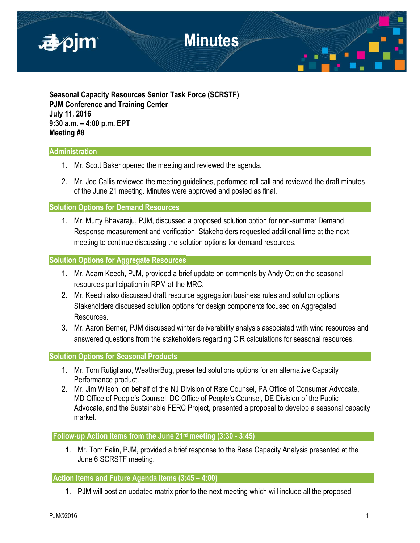

**Seasonal Capacity Resources Senior Task Force (SCRSTF) PJM Conference and Training Center July 11, 2016 9:30 a.m. – 4:00 p.m. EPT Meeting #8**

### **Administration**

- 1. Mr. Scott Baker opened the meeting and reviewed the agenda.
- 2. Mr. Joe Callis reviewed the meeting guidelines, performed roll call and reviewed the draft minutes of the June 21 meeting. Minutes were approved and posted as final.

**Solution Options for Demand Resources** 

1. Mr. Murty Bhavaraju, PJM, discussed a proposed solution option for non-summer Demand Response measurement and verification. Stakeholders requested additional time at the next meeting to continue discussing the solution options for demand resources.

### **Solution Options for Aggregate Resources**

- 1. Mr. Adam Keech, PJM, provided a brief update on comments by Andy Ott on the seasonal resources participation in RPM at the MRC.
- 2. Mr. Keech also discussed draft resource aggregation business rules and solution options. Stakeholders discussed solution options for design components focused on Aggregated Resources.
- 3. Mr. Aaron Berner, PJM discussed winter deliverability analysis associated with wind resources and answered questions from the stakeholders regarding CIR calculations for seasonal resources.

## **Solution Options for Seasonal Products**

- 1. Mr. Tom Rutigliano, WeatherBug, presented solutions options for an alternative Capacity Performance product.
- 2. Mr. Jim Wilson, on behalf of the NJ Division of Rate Counsel, PA Office of Consumer Advocate, MD Office of People's Counsel, DC Office of People's Counsel, DE Division of the Public Advocate, and the Sustainable FERC Project, presented a proposal to develop a seasonal capacity market.

## **Follow-up Action Items from the June 21rd meeting (3:30 - 3:45)**

1. Mr. Tom Falin, PJM, provided a brief response to the Base Capacity Analysis presented at the June 6 SCRSTF meeting.

## **Action Items and Future Agenda Items (3:45 – 4:00)**

1. PJM will post an updated matrix prior to the next meeting which will include all the proposed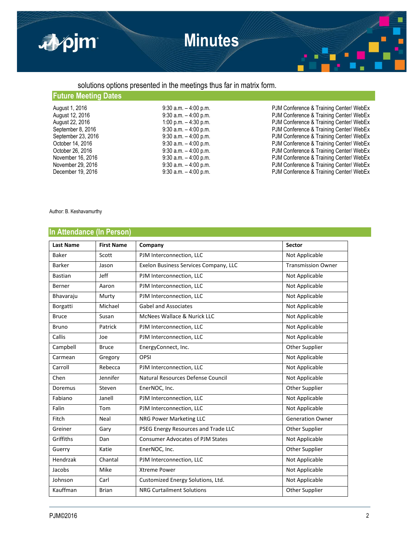

# solutions options presented in the meetings thus far in matrix form.

# **Future Meeting Dates**

| August 1, 2016     | $9:30$ a.m. $-4:00$ p.m. | PJM Conference & Training Center/ WebEx |
|--------------------|--------------------------|-----------------------------------------|
| August 12, 2016    | $9:30$ a.m. $-4:00$ p.m. | PJM Conference & Training Center/ WebEx |
| August 22, 2016    | 1:00 p.m. $-$ 4:30 p.m.  | PJM Conference & Training Center/ WebEx |
| September 8, 2016  | $9:30$ a.m. $-4:00$ p.m. | PJM Conference & Training Center/ WebEx |
| September 23, 2016 | $9:30$ a.m. $-4:00$ p.m. | PJM Conference & Training Center/ WebEx |
| October 14, 2016   | $9:30$ a.m. $-4:00$ p.m. | PJM Conference & Training Center/ WebEx |
| October 26, 2016   | $9:30$ a.m. $-4:00$ p.m. | PJM Conference & Training Center/ WebEx |
| November 16, 2016  | $9:30$ a.m. $-4:00$ p.m. | PJM Conference & Training Center/ WebEx |
| November 29, 2016  | $9:30$ a.m. $-4:00$ p.m. | PJM Conference & Training Center/ WebEx |
| December 19, 2016  | $9:30$ a.m. $-4:00$ p.m. | PJM Conference & Training Center/ WebEx |

#### Author: B. Keshavamurthy

# **In Attendance (In Person)**

| <b>Last Name</b> | <b>First Name</b> | Company                                 | <b>Sector</b>             |
|------------------|-------------------|-----------------------------------------|---------------------------|
| Baker            | Scott             | PJM Interconnection, LLC                | Not Applicable            |
| Barker           | Jason             | Exelon Business Services Company, LLC   | <b>Transmission Owner</b> |
| <b>Bastian</b>   | <b>Jeff</b>       | PJM Interconnection, LLC                | Not Applicable            |
| Berner           | Aaron             | PJM Interconnection, LLC                | Not Applicable            |
| Bhavaraju        | Murty             | PJM Interconnection, LLC                | Not Applicable            |
| Borgatti         | Michael           | <b>Gabel and Associates</b>             | Not Applicable            |
| <b>Bruce</b>     | Susan             | McNees Wallace & Nurick LLC             | Not Applicable            |
| <b>Bruno</b>     | Patrick           | PJM Interconnection, LLC                | Not Applicable            |
| Callis           | Joe               | PJM Interconnection, LLC                | Not Applicable            |
| Campbell         | <b>Bruce</b>      | EnergyConnect, Inc.                     | Other Supplier            |
| Carmean          | Gregory           | OPSI                                    | Not Applicable            |
| Carroll          | Rebecca           | PJM Interconnection, LLC                | Not Applicable            |
| Chen             | Jennifer          | Natural Resources Defense Council       | Not Applicable            |
| Doremus          | Steven            | EnerNOC, Inc.                           | Other Supplier            |
| Fabiano          | Janell            | PJM Interconnection, LLC                | Not Applicable            |
| Falin            | Tom               | PJM Interconnection, LLC                | Not Applicable            |
| Fitch            | Neal              | NRG Power Marketing LLC                 | <b>Generation Owner</b>   |
| Greiner          | Gary              | PSEG Energy Resources and Trade LLC     | Other Supplier            |
| Griffiths        | Dan               | <b>Consumer Advocates of PJM States</b> | Not Applicable            |
| Guerry           | Katie             | EnerNOC, Inc.                           | Other Supplier            |
| Hendrzak         | Chantal           | PJM Interconnection, LLC                | Not Applicable            |
| Jacobs           | Mike              | <b>Xtreme Power</b>                     | Not Applicable            |
| Johnson          | Carl              | Customized Energy Solutions, Ltd.       | Not Applicable            |
| Kauffman         | <b>Brian</b>      | <b>NRG Curtailment Solutions</b>        | Other Supplier            |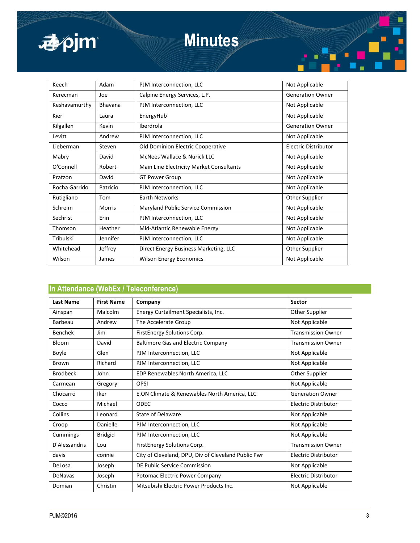

# **Minutes**

| Keech         | Adam           | PJM Interconnection, LLC                 | Not Applicable          |
|---------------|----------------|------------------------------------------|-------------------------|
| Kerecman      | Joe            | Calpine Energy Services, L.P.            | <b>Generation Owner</b> |
| Keshavamurthy | <b>Bhavana</b> | PJM Interconnection, LLC                 | Not Applicable          |
| Kier          | Laura          | EnergyHub                                | Not Applicable          |
| Kilgallen     | Kevin          | Iberdrola                                | <b>Generation Owner</b> |
| Levitt        | Andrew         | PJM Interconnection, LLC                 | Not Applicable          |
| Lieberman     | Steven         | Old Dominion Electric Cooperative        | Electric Distributor    |
| Mabry         | David          | McNees Wallace & Nurick LLC              | Not Applicable          |
| O'Connell     | Robert         | Main Line Electricity Market Consultants | Not Applicable          |
| Pratzon       | David          | <b>GT Power Group</b>                    | Not Applicable          |
| Rocha Garrido | Patricio       | PJM Interconnection, LLC                 | Not Applicable          |
| Rutigliano    | Tom            | <b>Earth Networks</b>                    | Other Supplier          |
| Schreim       | <b>Morris</b>  | Maryland Public Service Commission       | Not Applicable          |
| Sechrist      | Erin           | PJM Interconnection, LLC                 | Not Applicable          |
| Thomson       | Heather        | Mid-Atlantic Renewable Energy            | Not Applicable          |
| Tribulski     | Jennifer       | PJM Interconnection, LLC                 | Not Applicable          |
| Whitehead     | Jeffrey        | Direct Energy Business Marketing, LLC    | Other Supplier          |
| Wilson        | James          | <b>Wilson Energy Economics</b>           | Not Applicable          |

## **In Attendance (WebEx / Teleconference)**

| <b>Last Name</b> | <b>First Name</b> | Company                                             | <b>Sector</b>             |
|------------------|-------------------|-----------------------------------------------------|---------------------------|
| Ainspan          | Malcolm           | Energy Curtailment Specialists, Inc.                | <b>Other Supplier</b>     |
| Barbeau          | Andrew            | The Accelerate Group                                | Not Applicable            |
| <b>Benchek</b>   | <b>Jim</b>        | FirstEnergy Solutions Corp.                         | <b>Transmission Owner</b> |
| Bloom            | David             | <b>Baltimore Gas and Electric Company</b>           | <b>Transmission Owner</b> |
| Boyle            | Glen              | PJM Interconnection, LLC                            | Not Applicable            |
| Brown            | Richard           | PJM Interconnection, LLC                            | Not Applicable            |
| <b>Brodbeck</b>  | John              | EDP Renewables North America, LLC                   | Other Supplier            |
| Carmean          | Gregory           | <b>OPSI</b>                                         | Not Applicable            |
| Chocarro         | Iker              | E.ON Climate & Renewables North America, LLC        | <b>Generation Owner</b>   |
| Cocco            | Michael           | <b>ODEC</b>                                         | Electric Distributor      |
| Collins          | Leonard           | State of Delaware                                   | Not Applicable            |
| Croop            | Danielle          | PJM Interconnection, LLC                            | Not Applicable            |
| Cummings         | <b>Bridgid</b>    | PJM Interconnection, LLC                            | Not Applicable            |
| D'Alessandris    | Lou               | FirstEnergy Solutions Corp.                         | <b>Transmission Owner</b> |
| davis            | connie            | City of Cleveland, DPU, Div of Cleveland Public Pwr | Electric Distributor      |
| DeLosa           | Joseph            | DE Public Service Commission                        | Not Applicable            |
| DeNavas          | Joseph            | Potomac Electric Power Company                      | Electric Distributor      |
| Domian           | Christin          | Mitsubishi Electric Power Products Inc.             | Not Applicable            |

Ē

m.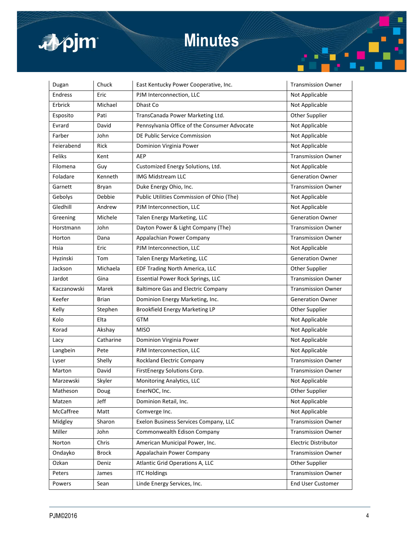

# **Minutes**

| Dugan          | Chuck        | East Kentucky Power Cooperative, Inc.        | <b>Transmission Owner</b> |
|----------------|--------------|----------------------------------------------|---------------------------|
| <b>Endress</b> | Eric         | PJM Interconnection, LLC                     | Not Applicable            |
| Erbrick        | Michael      | Dhast Co                                     | Not Applicable            |
| Esposito       | Pati         | TransCanada Power Marketing Ltd.             | <b>Other Supplier</b>     |
| Evrard         | David        | Pennsylvania Office of the Consumer Advocate | Not Applicable            |
| Farber         | John         | DE Public Service Commission                 | Not Applicable            |
| Feierabend     | <b>Rick</b>  | Dominion Virginia Power                      | Not Applicable            |
| Feliks         | Kent         | AEP                                          | <b>Transmission Owner</b> |
| Filomena       | Guy          | Customized Energy Solutions, Ltd.            | Not Applicable            |
| Foladare       | Kenneth      | <b>IMG Midstream LLC</b>                     | <b>Generation Owner</b>   |
| Garnett        | Bryan        | Duke Energy Ohio, Inc.                       | <b>Transmission Owner</b> |
| Gebolys        | Debbie       | Public Utilities Commission of Ohio (The)    | Not Applicable            |
| Gledhill       | Andrew       | PJM Interconnection, LLC                     | Not Applicable            |
| Greening       | Michele      | Talen Energy Marketing, LLC                  | <b>Generation Owner</b>   |
| Horstmann      | John         | Dayton Power & Light Company (The)           | <b>Transmission Owner</b> |
| Horton         | Dana         | Appalachian Power Company                    | <b>Transmission Owner</b> |
| Hsia           | Eric         | PJM Interconnection, LLC                     | Not Applicable            |
| Hyzinski       | Tom          | Talen Energy Marketing, LLC                  | <b>Generation Owner</b>   |
| Jackson        | Michaela     | EDF Trading North America, LLC               | Other Supplier            |
| Jardot         | Gina         | Essential Power Rock Springs, LLC            | <b>Transmission Owner</b> |
| Kaczanowski    | Marek        | <b>Baltimore Gas and Electric Company</b>    | <b>Transmission Owner</b> |
| Keefer         | <b>Brian</b> | Dominion Energy Marketing, Inc.              | <b>Generation Owner</b>   |
| Kelly          | Stephen      | Brookfield Energy Marketing LP               | <b>Other Supplier</b>     |
| Kolo           | Elta         | GTM                                          | Not Applicable            |
| Korad          | Akshay       | <b>MISO</b>                                  | Not Applicable            |
| Lacy           | Catharine    | Dominion Virginia Power                      | Not Applicable            |
| Langbein       | Pete         | PJM Interconnection, LLC                     | Not Applicable            |
| Lyser          | Shelly       | <b>Rockland Electric Company</b>             | <b>Transmission Owner</b> |
| Marton         | David        | FirstEnergy Solutions Corp.                  | <b>Transmission Owner</b> |
| Marzewski      | Skyler       | Monitoring Analytics, LLC                    | Not Applicable            |
| Matheson       | Doug         | EnerNOC, Inc.                                | Other Supplier            |
| Matzen         | Jeff         | Dominion Retail, Inc.                        | Not Applicable            |
| McCaffree      | Matt         | Comverge Inc.                                | Not Applicable            |
| Midgley        | Sharon       | Exelon Business Services Company, LLC        | <b>Transmission Owner</b> |
| Miller         | John         | Commonwealth Edison Company                  | <b>Transmission Owner</b> |
| Norton         | Chris        | American Municipal Power, Inc.               | Electric Distributor      |
| Ondayko        | <b>Brock</b> | Appalachain Power Company                    | <b>Transmission Owner</b> |
| Ozkan          | Deniz        | Atlantic Grid Operations A, LLC              | <b>Other Supplier</b>     |
| Peters         | James        | <b>ITC Holdings</b>                          | <b>Transmission Owner</b> |
| Powers         | Sean         | Linde Energy Services, Inc.                  | End User Customer         |

É

▓